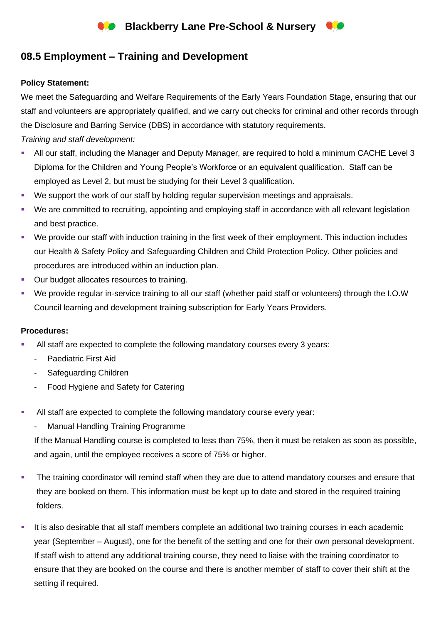

# **08.5 Employment – Training and Development**

### **Policy Statement:**

We meet the Safeguarding and Welfare Requirements of the Early Years Foundation Stage, ensuring that our staff and volunteers are appropriately qualified, and we carry out checks for criminal and other records through the Disclosure and Barring Service (DBS) in accordance with statutory requirements.

## *Training and staff development:*

- All our staff, including the Manager and Deputy Manager, are required to hold a minimum CACHE Level 3 Diploma for the Children and Young People's Workforce or an equivalent qualification. Staff can be employed as Level 2, but must be studying for their Level 3 qualification.
- We support the work of our staff by holding regular supervision meetings and appraisals.
- We are committed to recruiting, appointing and employing staff in accordance with all relevant legislation and best practice.
- We provide our staff with induction training in the first week of their employment. This induction includes our Health & Safety Policy and Safeguarding Children and Child Protection Policy. Other policies and procedures are introduced within an induction plan.
- Our budget allocates resources to training.
- We provide regular in-service training to all our staff (whether paid staff or volunteers) through the I.O.W Council learning and development training subscription for Early Years Providers.

### **Procedures:**

- All staff are expected to complete the following mandatory courses every 3 years:
	- Paediatric First Aid
	- Safeguarding Children
	- Food Hygiene and Safety for Catering
- All staff are expected to complete the following mandatory course every year:
	- Manual Handling Training Programme

If the Manual Handling course is completed to less than 75%, then it must be retaken as soon as possible, and again, until the employee receives a score of 75% or higher.

- The training coordinator will remind staff when they are due to attend mandatory courses and ensure that they are booked on them. This information must be kept up to date and stored in the required training folders.
- It is also desirable that all staff members complete an additional two training courses in each academic year (September – August), one for the benefit of the setting and one for their own personal development. If staff wish to attend any additional training course, they need to liaise with the training coordinator to ensure that they are booked on the course and there is another member of staff to cover their shift at the setting if required.